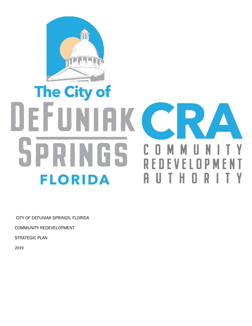

# The City of DEFUNIAK CR NGS 0 **FLORIDA** A

CITY OF DEFUNIAK SPRINGS, FLORIDA

COMMUNITY REDEVELOPMENT

STRATEGIC PLAN

2019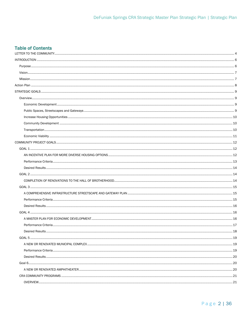# **Table of Contents**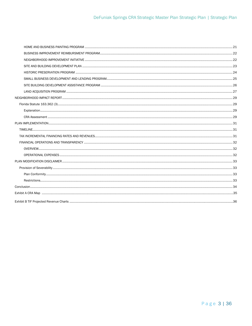<span id="page-2-0"></span>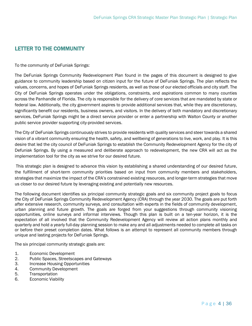# LETTER TO THE COMMUNITY

To the community of DeFuniak Springs:

The DeFuniak Springs Community Redevelopment Plan found in the pages of this document is designed to give guidance to community leadership based on citizen input for the future of DeFuniak Springs. The plan reflects the values, concerns, and hopes of DeFuniak Springs residents, as well as those of our elected officials and city staff. The City of DeFuniak Springs operates under the obligations, constraints, and aspirations common to many counties across the Panhandle of Florida. The city is responsible for the delivery of core services that are mandated by state or federal law. Additionally, the city government aspires to provide additional services that, while they are discretionary, significantly benefit our residents, business owners, and visitors. In the delivery of both mandatory and discretionary services, DeFuniak Springs might be a direct service provider or enter a partnership with Walton County or another public service provider supporting city-provided services.

The City of DeFuniak Springs continuously strives to provide residents with quality services and steer towards a shared vision of a vibrant community ensuring the health, safety, and wellbeing of generations to live, work, and play. It is this desire that led the city council of DeFuniak Springs to establish the Community Redevelopment Agency for the city of Defuniak Springs. By using a measured and deliberate approach to redevelopment, the new CRA will act as the implementation tool for the city as we strive for our desired future.

This strategic plan is designed to advance this vision by establishing a shared understanding of our desired future, the fulfillment of short-term community priorities based on input from community members and stakeholders, strategies that maximize the impact of the CRA's constrained existing resources, and longer-term strategies that move us closer to our desired future by leveraging existing and potentially new resources.

The following document identifies six principal community strategic goals and six community project goals to focus the City of DeFuniak Springs Community Redevelopment Agency (CRA) through the year 2030. The goals are put forth after extensive research, community surveys, and consultation with experts in the fields of community development, urban planning and future growth. The goals are forged from your suggestions through community visioning opportunities, online surveys and informal interviews. Though this plan is built on a ten-year horizon, it is the expectation of all involved that the Community Redevelopment Agency will review all action plans monthly and quarterly and hold a yearly full-day planning session to make any and all adjustments needed to complete all tasks on or before their preset completion dates. What follows is an attempt to represent all community members through unique and lasting projects for DeFuniak Springs.

The six principal community strategic goals are:

- 1. Economic Development
- 2. Public Spaces, Streetscapes and Gateways
- 3. Increase Housing Opportunities
- 4. Community Development
- 5. Transportation
- 6. Economic Viability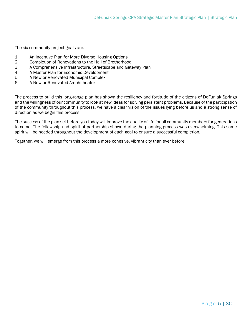The six community project goals are:

- 1. An Incentive Plan for More Diverse Housing Options
- 2. Completion of Renovations to the Hall of Brotherhood
- 3. A Comprehensive Infrastructure, Streetscape and Gateway Plan
- 4. A Master Plan for Economic Development
- 5. A New or Renovated Municipal Complex
- 6. A New or Renovated Amphitheater

The process to build this long-range plan has shown the resiliency and fortitude of the citizens of DeFuniak Springs and the willingness of our community to look at new ideas for solving persistent problems. Because of the participation of the community throughout this process, we have a clear vision of the issues lying before us and a strong sense of direction as we begin this process.

The success of the plan set before you today will improve the quality of life for all community members for generations to come. The fellowship and spirit of partnership shown during the planning process was overwhelming. This same spirit will be needed throughout the development of each goal to ensure a successful completion.

Together, we will emerge from this process a more cohesive, vibrant city than ever before.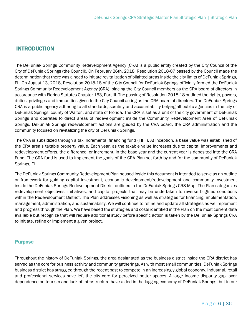# <span id="page-5-0"></span>INTRODUCTION

The DeFuniak Springs Community Redevelopment Agency (CRA) is a public entity created by the City Council of the City of DeFuniak Springs (the Council). On February 26th, 2018, Resolution 2018-07 passed by the Council made the determination that there was a need to initiate revitalization of blighted areas inside the city limits of DeFuniak Springs, FL. On August 13, 2018, Resolution 2018-18 of the City Council for DeFuniak Springs officially formed the DeFuniak Springs Community Redevelopment Agency (CRA), placing the City Council members as the CRA board of directors in accordance with Florida Statutes Chapter 163, Part III. The passing of Resolution 2018-18 outlined the rights, powers, duties, privileges and immunities given to the City Council acting as the CRA board of directors. The DeFuniak Springs CRA is a public agency adhering to all standards, scrutiny and accountability belying all public agencies in the city of DeFuniak Springs, county of Walton, and state of Florida. The CRA is set as a unit of the city government of DeFuniak Springs and operates to direct areas of redevelopment inside the Community Redevelopment Area of DeFuniak Springs. DeFuniak Springs redevelopment actions are guided by the CRA board, the CRA administration and the community focused on revitalizing the city of DeFuniak Springs.

The CRA is subsidized through a tax incremental financing fund (TIFF). At inception, a base value was established of the CRA area's taxable property value. Each year, as the taxable value increases due to capital improvements and redevelopment efforts, the difference, or increment, in the base year and the current year is deposited into the CRA Fund. The CRA fund is used to implement the goals of the CRA Plan set forth by and for the community of DeFuniak Springs, FL.

The DeFuniak Springs Community Redevelopment Plan housed inside this document is intended to serve as an outline or framework for guiding capital investment, economic development/redevelopment and community investment inside the DeFuniak Springs Redevelopment District outlined in the DeFuniak Springs CRS Map. The Plan categorizes redevelopment objectives, initiatives, and capital projects that may be undertaken to reverse blighted conditions within the Redevelopment District. The Plan addresses visioning as well as strategies for financing, implementation, management, administration, and sustainability. We will continue to refine and update all strategies as we implement and progress through the Plan. We have based the strategies and costs identified in the Plan on the most current data available but recognize that will require additional study before specific action is taken by the DeFuniak Springs CRA to initiate, refine or implement a given project.

## <span id="page-5-1"></span>**Purpose**

Throughout the history of DeFuniak Springs, the area designated as the business district inside the CRA district has served as the core for business activity and community gatherings. As with most small communities, DeFuniak Springs business district has struggled through the recent past to compete in an increasingly global economy. Industrial, retail and professional services have left the city core for perceived better spaces. A large income disparity gap, over dependence on tourism and lack of infrastructure have aided in the lagging economy of DeFuniak Springs, but in our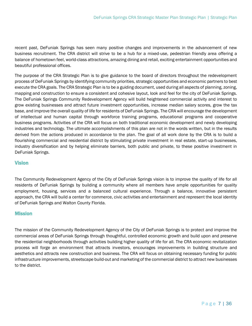recent past, DeFuniak Springs has seen many positive changes and improvements in the advancement of new business recruitment. The CRA district will strive to be a hub for a mixed-use, pedestrian friendly area offering a balance of hometown feel, world-class attractions, amazing dining and retail, exciting entertainment opportunities and beautiful professional offices.

The purpose of the CRA Strategic Plan is to give guidance to the board of directors throughout the redevelopment process of DeFuniak Springs by identifying community priorities, strategic opportunities and economic partners to best execute the CRA goals. The CRA Strategic Plan is to be a guiding document, used during all aspects of planning, zoning, mapping and construction to ensure a consistent and cohesive layout, look and feel for the city of DeFuniak Springs. The DeFuniak Springs Community Redevelopment Agency will build heightened commercial activity and interest to grow existing businesses and attract future investment opportunities, increase median salary scores, grow the tax base, and improve the overall quality of life for residents of DeFuniak Springs. The CRA will encourage the development of intellectual and human capital through workforce training programs, educational programs and cooperative business programs. Activities of the CRA will focus on both traditional economic development and newly developing industries and technology. The ultimate accomplishments of this plan are not in the words written, but in the results derived from the actions produced in accordance to the plan. The goal of all work done by the CRA is to build a flourishing commercial and residential district by stimulating private investment in real estate, start-up businesses, industry diversification and by helping eliminate barriers, both public and private, to these positive investment in DeFuniak Springs.

## <span id="page-6-0"></span>**Vision**

The Community Redevelopment Agency of the City of DeFuniak Springs vision is to improve the quality of life for all residents of DeFuniak Springs by building a community where all members have ample opportunities for quality employment, housing, services and a balanced cultural experience. Through a balance, innovative persistent approach, the CRA will build a center for commerce, civic activities and entertainment and represent the local identity of DeFuniak Springs and Walton County Florida.

## <span id="page-6-1"></span>**Mission**

The mission of the Community Redevelopment Agency of the City of DeFuniak Springs is to protect and improve the commercial areas of DeFuniak Springs through thoughtful, controlled economic growth and build upon and preserve the residential neighborhoods through activities building higher quality of life for all. The CRA economic revitalization process will forge an environment that attracts investors, encourages improvements in building structure and aesthetics and attracts new construction and business. The CRA will focus on obtaining necessary funding for public infrastructure improvements, streetscape build-out and marketing of the commercial district to attract new businesses to the district.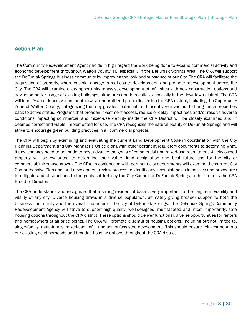# <span id="page-7-0"></span>Action Plan

The Community Redevelopment Agency holds in high regard the work being done to expand commercial activity and economic development throughout Walton County, FL, especially in the DeFuniak Springs Area. The CRA will support the DeFuniak Springs business community by improving the look and substance of our City. The CRA will facilitate the acquisition of property, when feasible, engage in real estate development, and promote redevelopment across the City. The CRA will examine every opportunity to assist development of infill sites with new construction options and advise on better usage of existing buildings, structures and homesites, especially in the downtown district. The CRA will identify abandoned, vacant or otherwise underutilized properties inside the CRA district, including the Opportunity Zone of Walton County, categorizing them by greatest potential, and incentivize investors to bring these properties back to active status. Programs that broaden investment access, reduce or delay impact fees and/or resolve adverse conditions impacting commercial and mixed-use viability inside the CRA District will be closely examined and, if deemed correct and viable, implemented for use. The CRA recognizes the natural beauty of DeFuniak Springs and will strive to encourage green building practices in all commercial projects.

The CRA will begin by examining and evaluating the current Land Development Code in coordination with the City Planning Department and City Manager's Office along with other pertinent regulatory documents to determine what, if any, changes need to be made to best advance the goals of commercial and mixed-use recruitment. All city owned property will be evaluated to determine their value, land designation and best future use for the city or commercial/mixed-use growth. The CRA, in conjunction with pertinent city departments will examine the current City Comprehensive Plan and land development review process to identify any inconsistencies in policies and procedures to mitigate and obstructions to the goals set forth by the City Council of DeFuniak Springs in their role as the CRA Board of Directors.

The CRA understands and recognizes that a strong residential base is very important to the long-term viability and vitality of any city. Diverse housing draws in a diverse population, ultimately giving broader support to both the business community and the overall character of the city of DeFuniak Springs. The DeFuniak Springs Community Redevelopment Agency will strive to support high-quality, well-designed, multifaceted and, most importantly, safe housing options throughout the CRA district. These options should deliver functional, diverse opportunities for renters and homeowners at all price points. The CRA will promote a gamut of housing options, including but not limited to, single-family, multi-family, mixed-use, infill, and senior/assisted development. This should ensure reinvestment into our existing neighborhoods and broaden housing options throughout the CRA district.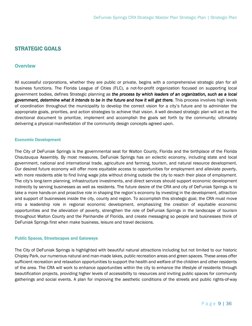# <span id="page-8-0"></span>STRATEGIC GOALS

## <span id="page-8-1"></span>**Overview**

All successful corporations, whether they are public or private, begins with a comprehensive strategic plan for all business functions. The Florida League of Cities (FLC), a not-for-profit organization focused on supporting local government bodies, defines Strategic planning as *the process by which leaders of an organization, such as a local government, determine what it intends to be in the future and how it will get there.* This process involves high levels of coordination throughout the municipality to develop the correct vision for a city's future and to administer the appropriate goals, priorities, and action strategies to achieve that vision. A well devised strategic plan will act as the directional document to prioritize, implement and accomplish the goals set forth by the community; ultimately delivering a physical manifestation of the community design concepts agreed upon.

#### <span id="page-8-2"></span>Economic Development

The City of DeFuniak Springs is the governmental seat for Walton County, Florida and the birthplace of the Florida Chautauqua Assembly. By most measures, DeFuniak Springs has an eclectic economy, including state and local government, national and international trade, agriculture and farming, tourism, and natural resource development. Our desired future economy will offer more equitable access to opportunities for employment and alleviate poverty, with more residents able to find living wage jobs without driving outside the city to reach their place of employment. The city's long-term planning, infrastructure investments, and direct services should support economic development indirectly by serving businesses as well as residents. The future desire of the CRA and city of DeFuniak Springs is to take a more hands-on and proactive role in shaping the region's economy by investing in the development, attraction and support of businesses inside the city, county and region. To accomplish this strategic goal, the CRA must move into a leadership role in regional economic development, emphasizing the creation of equitable economic opportunities and the alleviation of poverty, strengthen the role of DeFuniak Springs in the landscape of tourism throughout Walton County and the Panhandle of Florida, and create messaging so people and businesses think of DeFuniak Springs first when make business, leisure and travel decisions.

#### <span id="page-8-3"></span>Public Spaces, Streetscapes and Gateways

The City of DeFuniak Springs is highlighted with beautiful natural attractions including but not limited to our historic Chipley Park, our numerous natural and man-made lakes, public recreation areas and green spaces. These areas offer sufficient recreation and relaxation opportunities to support the health and welfare of the children and other residents of the area. The CRA will work to enhance opportunities within the city to enhance the lifestyle of residents through beautification projects, providing higher levels of accessibility to resources and inviting public spaces for community gatherings and social events. A plan for improving the aesthetic conditions of the streets and public rights-of-way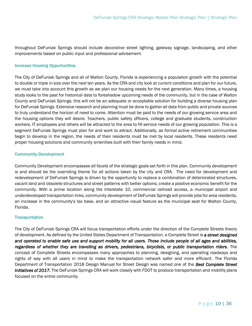throughout DeFuniak Springs should include decorative street lighting, gateway signage, landscaping, and other improvements based on public input and professional advisement.

#### <span id="page-9-0"></span>Increase Housing Opportunities

The City of DeFuniak Springs and all of Walton County, Florida is experiencing a population growth with the potential to double or triple in size over the next ten years. As the CRA and city look at current conditions and plan for our future, we must take into account this growth as we plan our housing needs for the next generation. Many times, a housing study looks to the past for historical data to foreshadow upcoming needs of the community, but in the case of Walton County and DeFuniak Springs, this will not be an adequate or acceptable solution for building a diverse housing plan for DeFuniak Springs. Extensive research and planning must be done to gather all data from public and private sources to truly understand the horizon of need to come. Attention must be paid to the needs of our growing service area and the housing options they will desire. Teachers, public safety officers, college and graduate students, construction workers, IT employees and others will be attracted to the area to fill service needs of our growing population. This is a segment DeFuniak Springs must plan for and work to attract. Additionally, as formal active retirement communities begin to develop in the region, the needs of their residents must be met by local residents. These residents need proper housing solutions and community amenities built with their family needs in mind.

#### <span id="page-9-1"></span>Community Development

Community Development encompasses all facets of the strategic goals set forth in this plan. Community development is and should be the overriding theme for all actions taken by the city and CRA. The need for development and redevelopment of DeFuniak Springs is driven by the opportunity to replace a combination of deteriorated structures, vacant land and obsolete structures and street patterns with better options; create a positive economic benefit for the community. With a prime location along the Interstate 10, commercial railroad access, a municipal airport and underdeveloped transportation links, community development of DeFuniak Springs will provide jobs for area residents, an increase in the community's tax base, and an attractive visual feature as the municipal seat for Walton County, Florida.

#### <span id="page-9-2"></span>**Transportation**

The City of DeFuniak Springs CRA will focus transportation efforts under the direction of the Complete Streets theory of development. As defined by the United States Department of Transportation, a Complete Street is *a street designed and operated to enable safe use and support mobility for all users. Those include people of all ages and abilities, regardless of whether they are travelling as drivers, pedestrians, bicyclists, or public transportation riders.* The concept of Complete Streets encompasses many approaches to planning, designing, and operating roadways and rights of way with all users in mind to make the transportation network safer and more efficient. The Florida Department of Transportation 2018 Design Manual for Street Design was named one of the *Best Complete Street Initiatives of 2017.* The DeFuniak Springs CRA will work closely with FDOT to produce transportation and mobility plans focused on the entire community.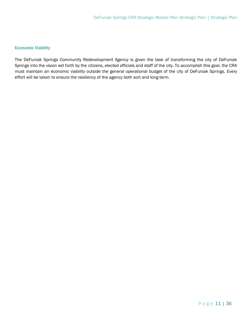## <span id="page-10-0"></span>Economic Viability

The DeFuniak Springs Community Redevelopment Agency is given the task of transforming the city of DeFuniak Springs into the vision set forth by the citizens, elected officials and staff of the city. To accomplish this goal, the CRA must maintain an economic viability outside the general operational budget of the city of DeFuniak Springs. Every effort will be taken to ensure the resiliency of the agency both sort and long-term.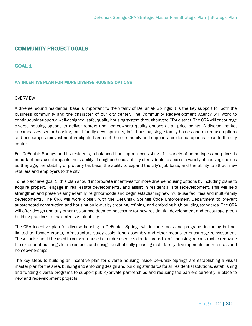# <span id="page-11-0"></span>COMMUNITY PROJECT GOALS

## <span id="page-11-1"></span>GOAL 1

#### <span id="page-11-2"></span>AN INCENTIVE PLAN FOR MORE DIVERSE HOUSING OPTIONS

#### **OVERVIEW**

A diverse, sound residential base is important to the vitality of DeFuniak Springs; it is the key support for both the business community and the character of our city center. The Community Redevelopment Agency will work to continuously support a well-designed, safe, quality housing system throughout the CRA district. The CRA will encourage diverse housing options to deliver renters and homeowners quality options at all price points. A diverse market encompasses senior housing, multi-family developments, infill housing, single-family homes and mixed-use options and encourages reinvestment in blighted areas of the community and supports residential options close to the city center.

For DeFuniak Springs and its residents, a balanced housing mix consisting of a variety of home types and prices is important because it impacts the stability of neighborhoods, ability of residents to access a variety of housing choices as they age, the stability of property tax base, the ability to expand the city's job base, and the ability to attract new retailers and employers to the city.

To help achieve goal 1, this plan should incorporate incentives for more diverse housing options by including plans to acquire property, engage in real estate developments, and assist in residential site redevelopment. This will help strengthen and preserve single-family neighborhoods and begin establishing new multi-use facilities and multi-family developments. The CRA will work closely with the DeFuniak Springs Code Enforcement Department to prevent substandard construction and housing build-out by creating, refining, and enforcing high building standards. The CRA will offer design and any other assistance deemed necessary for new residential development and encourage green building practices to maximize sustainability.

The CRA incentive plan for diverse housing in DeFuniak Springs will include tools and programs including but not limited to, façade grants, infrastructure study costs, land assembly and other means to encourage reinvestment. These tools should be used to convert unused or under used residential areas to infill housing, reconstruct or renovate the exterior of buildings for mixed-use, and design aesthetically pleasing multi-family developments; both rentals and homeownerships.

The key steps to building an incentive plan for diverse housing inside DeFuniak Springs are establishing a visual master plan for the area, building and enforcing design and building standards for all residential solutions, establishing and funding diverse programs to support public/private partnerships and reducing the barriers currently in place to new and redevelopment projects.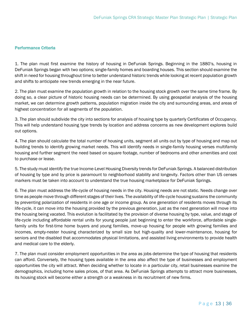#### <span id="page-12-0"></span>Performance Criteria

1. The plan must first examine the history of housing in DeFuniak Springs. Beginning in the 1880's, housing in DeFuniak Springs began with two options; single-family homes and boarding houses. This section should examine the shift in need for housing throughout time to better understand historic trends while looking at recent population growth and shifts to anticipate new trends emerging in the near future.

2. The plan must examine the population growth in relation to the housing stock growth over the same time frame. By doing so, a clear picture of historic housing needs can be determined. By using geospatial analysis of the housing market, we can determine growth patterns, population migration inside the city and surrounding areas, and areas of highest concentration for all segments of the population.

3. The plan should subdivide the city into sections for analysis of housing type by quarterly Certificates of Occupancy. This will help understand housing type trends by location and address concerns as new development explores build out options.

4. The plan should calculate the total number of housing units, segment all units out by type of housing and map out building trends to identify growing market needs. This will identify needs in single-family housing verses multifamily housing and further segment the need based on square footage, number of bedrooms and other amenities and cost to purchase or lease.

5. The study must identify the true Income-Level Housing Diversity trends for DeFuniak Springs. A balanced distribution of housing by type and by price is paramount to neighborhood stability and longevity. Factors other than US censes markers must be taken into account to understand the true housing marketplace for DeFuniak Springs.

6. The plan must address the life-cycle of housing needs in the city. Housing needs are not static. Needs change over time as people move through different stages of their lives. The availability of life-cycle housing sustains the community by preventing polarization of residents in one age or income group. As one generation of residents moves through its life-cycle, it can move into the housing provided by the previous generation, just as the next generation will move into the housing being vacated. This evolution is facilitated by the provision of diverse housing by type, value, and stage of life-cycle including affordable rental units for young people just beginning to enter the workforce, affordable singlefamily units for first-time home buyers and young families, move-up housing for people with growing families and incomes, empty-nester housing characterized by small size but high-quality and lower-maintenance, housing for seniors and the disabled that accommodates physical limitations, and assisted living environments to provide health and medical care to the elderly.

7. The plan must consider employment opportunities in the area as jobs determine the type of housing that residents can afford. Conversely, the housing types available in the area also affect the type of businesses and employment opportunities the city will attract. When deciding whether to locate in a particular city, retail businesses examine the demographics, including home sales prices, of that area. As DeFuniak Springs attempts to attract more businesses, its housing stock will become either a strength or a weakness in its recruitment of new firms.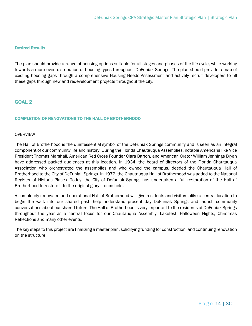#### <span id="page-13-0"></span>Desired Results

The plan should provide a range of housing options suitable for all stages and phases of the life cycle, while working towards a more even distribution of housing types throughout DeFuniak Springs. The plan should provide a map of existing housing gaps through a comprehensive Housing Needs Assessment and actively recruit developers to fill these gaps through new and redevelopment projects throughout the city.

# <span id="page-13-1"></span>GOAL 2

## <span id="page-13-2"></span>COMPLETION OF RENOVATIONS TO THE HALL OF BROTHERHOOD

#### OVERVIEW

The Hall of Brotherhood is the quintessential symbol of the DeFuniak Springs community and is seen as an integral component of our community life and history. During the Florida Chautauqua Assemblies, notable Americans like Vice President Thomas Marshall, American Red Cross Founder Clara Barton, and American Orator William Jennings Bryan have addressed packed audiences at this location. In 1934, the board of directors of the Florida Chautauqua Association who orchestrated the assemblies and who owned the campus, deeded the Chautauqua Hall of Brotherhood to the City of DeFuniak Springs. In 1972, the Chautauqua Hall of Brotherhood was added to the National Register of Historic Places. Today, the City of Defuniak Springs has undertaken a full restoration of the Hall of Brotherhood to restore it to the original glory it once held.

A completely renovated and operational Hall of Brotherhood will give residents and visitors alike a central location to begin the walk into our shared past, help understand present day DeFuniak Springs and launch community conversations about our shared future. The Hall of Brotherhood is very important to the residents of DeFuniak Springs throughout the year as a central focus for our Chautauqua Assembly, Lakefest, Halloween Nights, Christmas Reflections and many other events.

The key steps to this project are finalizing a master plan, solidifying funding for construction, and continuing renovation on the structure.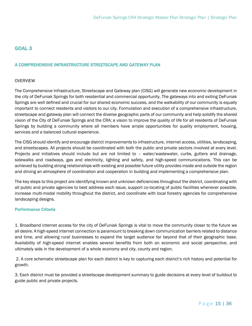# <span id="page-14-0"></span>GOAL 3

## <span id="page-14-1"></span>A COMPREHENSIVE INFRASTRUCTURE STREETSCAPE AND GATEWAY PLAN

#### **OVERVIEW**

The Comprehensive Infrastructure, Streetscape and Gateway plan (CISG) will generate new economic development in the city of DeFuniak Springs for both residential and commercial opportunity. The gateways into and exiting DeFuniak Springs are well defined and crucial for our shared economic success, and the walkability of our community is equally important to connect residents and visitors to our city. Formulation and execution of a comprehensive infrastructure, streetscape and gateway plan will connect the diverse geographic parts of our community and help solidify the shared vision of the City of DeFuniak Springs and the CRA; a vision to improve the quality of life for all residents of DeFuniak Springs by building a community where all members have ample opportunities for quality employment, housing, services and a balanced cultural experience.

The CISG should identify and encourage district improvements to infrastructure, internet access, utilities, landscaping, and streetscapes. All projects should be coordinated with both the public and private sectors involved at every level. Projects and initiatives should include but are not limited to – water/wastewater, curbs, gutters and drainage, sidewalks and roadways, gas and electricity, lighting and safety, and high-speed communications. This can be achieved by building strong relationships with existing and possible future utility provides inside and outside the region and driving an atmosphere of coordination and cooperation in building and implementing a comprehensive plan.

The key steps to this project are identifying known and unknown deficiencies throughout the district, coordinating with all public and private agencies to best address each issue, support co-locating of public facilities whenever possible, increase multi-modal mobility throughout the district, and coordinate with local forestry agencies for comprehensive landscaping designs.

#### <span id="page-14-2"></span>Performance Criteria

1. Broadband internet access for the city of DeFuniak Springs is vital to move the community closer to the future we all desire. A high-speed internet connection is paramount to breaking down communication barriers related to distance and time, and allowing rural businesses to expand the target audience far beyond that of their geographic base. Availability of high-speed internet enables several benefits from both an economic and social perspective, and ultimately aids in the development of a whole economy and city, county and region.

2. A core schematic streetscape plan for each district is key to capturing each district's rich history and potential for growth.

3. Each district must be provided a streetscape development summary to guide decisions at every level of buildout to guide public and private projects.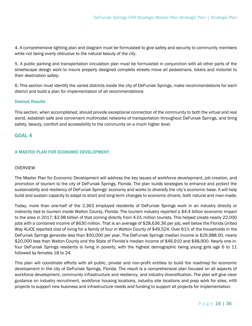4. A comprehensive lighting plan and diagram must be formulated to give safety and security to community members while not being overly obtrusive to the natural beauty of the city.

5. A public parking and transportation circulation plan must be formulated in conjunction with all other parts of the streetscape design work to insure properly designed complete streets move all pedestrians, bikers and motorist to their destination safely.

6. This section must identify the varied districts inside the city of DeFuniak Springs, make recommendations for each district and build a plan for implementation of all recommendations

#### <span id="page-15-0"></span>Desired Results

This section, when accomplished, should provide exceptional connection of the community to both the virtual and real world, establish safe and convenient multimodal networks of transportation throughout DeFuniak Springs, and bring safety, beauty, comfort and accessibility to the community on a much higher level.

## <span id="page-15-1"></span>GOAL 4

## <span id="page-15-2"></span>A MASTER PLAN FOR ECONOMIC DEVELOPMENT

#### OVERVIEW

The Master Plan for Economic Development will address the key issues of workforce development, job creation, and promotion of tourism to the city of DeFuniak Springs, Florida. The plan builds strategies to enhance and protect the sustainability and resiliency of DeFuniak Springs' economy and works to diversify the city's economic base. It will help build and sustain capacity to adapt to short and long-term changes to economic drivers, both natural and man-made.

Today, more than one-half of the 2,363 employed residents of DeFuniak Springs work in an industry directly or indirectly tied to tourism inside Walton County, Florida. The tourism industry reported a \$4.4 billion economic impact to the area in 2017; \$2.98 billion of that coming directly from 4.01 million tourists. This helped create nearly 22,000 jobs with a combined income of \$630 million. That is an average of \$28,636.36 per job, well below the Florida United Way ALICE reported cost of living for a family of four in Walton County of \$49,524. Over 61% of the households in the DeFuniak Springs generate less than \$50,000 per year. The DeFuniak Springs median income is \$29,988.00, nearly \$20,000 less than Walton County and the State of Florida's median income of \$46,910 and \$48,900. Nearly one-infour DeFuniak Springs residents is living in poverty, with the highest demographic being young girls age 6 to 11 followed by females 18 to 24.

This plan will coordinate efforts with all public, private and non-profit entities to build the roadmap for economic development in the city of DeFuniak Springs, Florida. The result is a comprehensive plan focused on all aspects of workforce development, community infrastructure and resiliency, and industry diversification. The plan will give clear guidance on industry recruitment, workforce housing locations, industry site locations and prep work for sites, infill projects to support new business and infrastructure needs and funding to support all projects for implementation.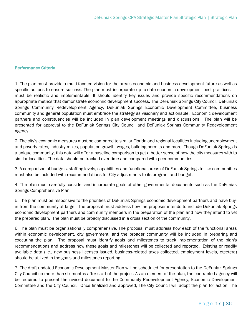#### <span id="page-16-0"></span>Performance Criteria

1. The plan must provide a multi-faceted vision for the area's economic and business development future as well as specific actions to ensure success. The plan must incorporate up-to-date economic development best practices. It must be realistic and implementable. It should identify key issues and provide specific recommendations on appropriate metrics that demonstrate economic development success. The DeFuniak Springs City Council, DeFuniak Springs Community Redevelopment Agency, DeFuniak Springs Economic Development Committee, business community and general population must embrace the strategy as visionary and actionable. Economic development partners and constituencies will be included in plan development meetings and discussions. The plan will be presented for approval to the DeFuniak Springs City Council and DeFuniak Springs Community Redevelopment Agency.

2. The city's economic measures must be compared to similar Florida and regional localities including unemployment and poverty rates, industry mixes, population growth, wages, building permits and more. Though DeFuniak Springs is a unique community, this data will offer a baseline comparison to get a better sense of how the city measures with to similar localities. The data should be tracked over time and compared with peer communities.

3. A comparison of budgets, staffing levels, capabilities and functional areas of DeFuniak Springs to like communities must also be included with recommendations for City adjustments to its program and budget.

4. The plan must carefully consider and incorporate goals of other governmental documents such as the DeFuniak Springs Comprehensive Plan.

5. The plan must be responsive to the priorities of DeFuniak Springs economic development partners and have buyin from the community at large. The proposal must address how the proposer intends to include DeFuniak Springs economic development partners and community members in the preparation of the plan and how they intend to vet the prepared plan. The plan must be broadly discussed in a cross section of the community.

6. The plan must be organizationally comprehensive. The proposal must address how each of the functional areas within economic development, city government, and the broader community will be included in preparing and executing the plan. The proposal must identify goals and milestones to track implementation of the plan's recommendations and address how these goals and milestones will be collected and reported. Existing or readily available data (i.e., new business licenses issued, business-related taxes collected, employment levels, etcetera) should be utilized in the goals and milestones reporting.

7. The draft updated Economic Development Master Plan will be scheduled for presentation to the DeFuniak Springs City Council no more than six months after start of the project. As an element of the plan, the contracted agency will be required to present the revised document to the Community Redevelopment Agency, Economic Development Committee and the City Council. Once finalized and approved, The City Council will adopt the plan for action. The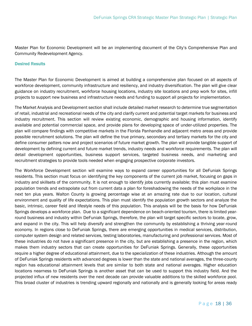Master Plan for Economic Development will be an implementing document of the City's Comprehensive Plan and Community Redevelopment Agency.

#### <span id="page-17-0"></span>Desired Results

The Master Plan for Economic Development is aimed at building a comprehensive plan focused on all aspects of workforce development, community infrastructure and resiliency, and industry diversification. The plan will give clear guidance on industry recruitment, workforce housing locations, industry site locations and prep work for sites, infill projects to support new business and infrastructure needs and funding to support all projects for implementation.

The Market Analysis and Development section shall include detailed market research to determine true segmentation of retail, industrial and recreational needs of the city and clarify current and potential target markets for business and industry recruitment. This section will review existing economic, demographic and housing information, identify available and potential commercial space, and provide plans for developing space of under-utilized properties. The plan will compare findings with competitive markets in the Florida Panhandle and adjacent metro areas and provide possible recruitment solutions. The plan will define the true primary, secondary and tertiary markets for the city and define consumer patters now and project scenarios of future market growth. The plan will provide tangible support of development by defining current and future market trends, industry needs and workforce requirements. The plan will detail development opportunities, business support services, targeted business needs, and marketing and recruitment strategies to provide tools needed when engaging prospective corporate investors.

The Workforce Development section will examine ways to expand career opportunities for all DeFuniak Springs residents. This section must focus on identifying the key components of the current job market, focusing on gaps in industry and skillsets of the community. It is not enough to identify jobs currently available; this plan must examine population trends and extrapolate out from current data a plan for foreshadowing the needs of the workplace in the next ten plus years. Walton County is growing percentage wise at an amazing rate due to our location, cultural environment and quality of life expectations. This plan must identify the population growth sectors and analyze the basic, intrinsic, career field and lifestyle needs of this population. This analysis will be the basis for how DeFuniak Springs develops a workforce plan. Due to a significant dependence on beach-oriented tourism, there is limited yearround business and industry within DeFuniak Springs, therefore, the plan will target specific sectors to locate, grow, and expand in the city. This will help diversify and strengthen the community by establishing a thriving year-round economy. In regions close to DeFuniak Springs, there are emerging opportunities in medical services, distribution, computer system design and related services, testing laboratories, manufacturing and professional services. Most of these industries do not have a significant presence in the city, but are establishing a presence in the region, which makes them industry sectors that can create opportunities for DeFuniak Springs. Generally, these opportunities require a higher degree of educational attainment, due to the specialization of these industries. Although the amount of DeFuniak Springs residents with advanced degrees is lower than the state and national averages, the three-county region has educational attainment levels that are similar to both state and national averages. Higher education locations nearness to DeFuniak Springs is another asset that can be used to support this industry field. And the projected influx of new residents over the next decade can provide valuable additions to the skilled workforce pool. This broad cluster of industries is trending upward regionally and nationally and is generally looking for areas ready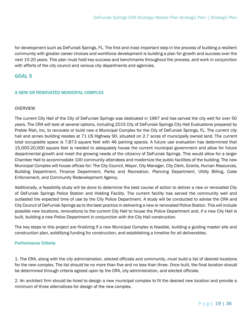for development such as DeFuniak Springs, FL. The first and most important step in the process of building a resilient community with greater career choices and workforce development is building a plan for growth and success over the next 15-20 years. This plan must hold key success and benchmarks throughout the process, and work in conjunction with efforts of the city council and various city departments and agencies.

## <span id="page-18-0"></span>GOAL 5

## <span id="page-18-1"></span>A NEW OR RENOVATED MUNICIPAL COMPLEX

#### OVERVIEW

The current City Hall of the City of DeFuniak Springs was dedicated in 1967 and has served the city well for over 50 years. The CRA will look at several options, including 2015 City of DeFuniak Springs City Hall Evaluations prepared by Preble Rish, Inc, to renovate or build new a Municipal Complex for the City of DeFuniak Springs, FL. The current city hall and annex building resides at 71 US Highway 90, situated on 2.7 acres of municipally owned land. The current total occupiable space is 7,873 square feet with 46 parking spaces. A future use evaluation has determined that 15,000-20,000 square feet is needed to adequately house the current municipal government and allow for future departmental growth and meet the growing needs of the citizenry of DeFuniak Springs. This would allow for a larger Chamber Hall to accommodate 100 community attendees and modernize the public facilities of the building. The new Municipal Complex will house offices for: The City Council, Mayor, City Manager, City Clerk, Grants, Human Resources, Building Department, Finance Department, Parks and Recreation, Planning Department, Utility Billing, Code Enforcement, and Community Redevelopment Agency.

Additionally, a feasibility study will be done to determine the best course of action to deliver a new or renovated City of DeFuniak Springs Police Station and Holding Facility. The current facility has served the community well and outlasted the expected time of use by the City Police Department. A study will be conducted to advise the CRA and City Council of DeFuniak Springs as to the best practice in delivering a new or renovated Police Station. This will include possible new locations, renovations to the current City Hall to house the Police Department and, if a new City Hall is built, building a new Police Department in conjunction with the City Hall construction.

The key steps to this project are finalizing if a new Municipal Complex is feasible, building a guiding master site and construction plan, solidifying funding for construction, and establishing a timeline for all deliverables.

#### <span id="page-18-2"></span>Performance Criteria

1. The CRA, along with the city administration, elected officials and community, must build a list of desired locations for the new complex. The list should be no more than five and no less than three. Once built, the final location should be determined through criteria agreed upon by the CRA, city administration, and elected officials.

2. An architect firm should be hired to design a new municipal complex to fit the desired new location and provide a minimum of three alternatives for design of the new complex.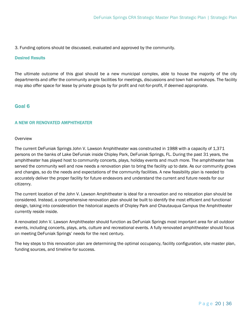3. Funding options should be discussed, evaluated and approved by the community.

#### <span id="page-19-0"></span>Desired Results

The ultimate outcome of this goal should be a new municipal complex, able to house the majority of the city departments and offer the community ample facilities for meetings, discussions and town hall workshops. The facility may also offer space for lease by private groups by for profit and not-for-profit, if deemed appropriate.

## <span id="page-19-1"></span>Goal 6

#### <span id="page-19-2"></span>A NEW OR RENOVATED AMPHITHEATER

#### **Overview**

The current DeFuniak Springs John V. Lawson Amphitheater was constructed in 1988 with a capacity of 1,371 persons on the banks of Lake DeFuniak inside Chipley Park, DeFuniak Springs, FL. During the past 31 years, the amphitheater has played host to community concerts, plays, holiday events and much more. The amphitheater has served the community well and now needs a renovation plan to bring the facility up to date. As our community grows and changes, so do the needs and expectations of the community facilities. A new feasibility plan is needed to accurately deliver the proper facility for future endeavors and understand the current and future needs for our citizenry.

The current location of the John V. Lawson Amphitheater is ideal for a renovation and no relocation plan should be considered. Instead, a comprehensive renovation plan should be built to identify the most efficient and functional design, taking into consideration the historical aspects of Chipley Park and Chautauqua Campus the Amphitheater currently reside inside.

A renovated John V. Lawson Amphitheater should function as DeFuniak Springs most important area for all outdoor events, including concerts, plays, arts, culture and recreational events. A fully renovated amphitheater should focus on meeting DeFuniak Springs' needs for the next century.

The key steps to this renovation plan are determining the optimal occupancy, facility configuration, site master plan, funding sources, and timeline for success.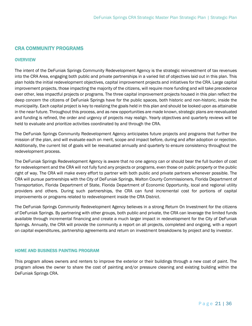# <span id="page-20-0"></span>CRA COMMUNITY PROGRAMS

#### <span id="page-20-1"></span>**OVERVIEW**

The intent of the DeFuniak Springs Community Redevelopment Agency is the strategic reinvestment of tax revenues into the CRA Area, engaging both public and private partnerships in a varied list of objectives laid out in this plan. This plan holds the initial redevelopment objectives, capital improvement projects and initiatives for the CRA. Large capital improvement projects, those impacting the majority of the citizens, will require more funding and will take precedence over other, less impactful projects or programs. The three capital improvement projects housed in this plan reflect the deep concern the citizens of DeFuniak Springs have for the public spaces, both historic and non-historic, inside the municipality. Each capital project is key to realizing the goals held in this plan and should be looked upon as attainable in the near future. Throughout this process, and as new opportunities are made known, strategic plans are reevaluated and funding is refined, the order and urgency of projects may realign. Yearly objectives and quarterly reviews will be held to evaluate and prioritize activities coordinated by and through the CRA.

The DeFuniak Springs Community Redevelopment Agency anticipates future projects and programs that further the mission of the plan, and will evaluate each on merit, scope and impact before, during and after adoption or rejection. Additionally, the current list of goals will be reevaluated annually and quarterly to ensure consistency throughout the redevelopment process.

The DeFuniak Springs Redevelopment Agency is aware that no one agency can or should bear the full burden of cost for redevelopment and the CRA will not fully fund any projects or programs, even those on public property or the public right of way. The CRA will make every effort to partner with both public and private partners whenever possible. The CRA will pursue partnerships with the City of DeFuniak Springs, Walton County Commissioners, Florida Department of Transportation, Florida Department of State, Florida Department of Economic Opportunity, local and regional utility providers and others. During such partnerships, the CRA can fund incremental cost for portions of capital improvements or programs related to redevelopment inside the CRA District.

The DeFuniak Springs Community Redevelopment Agency believes in a strong Return On Investment for the citizens of DeFuniak Springs. By partnering with other groups, both public and private, the CRA can leverage the limited funds available through incremental financing and create a much larger impact in redevelopment for the City of DeFuniak Springs. Annually, the CRA will provide the community a report on all projects, completed and ongoing, with a report on capital expenditures, partnership agreements and return on investment breakdowns by project and by investor.

#### <span id="page-20-2"></span>HOME AND BUSINESS PAINTING PROGRAM

This program allows owners and renters to improve the exterior or their buildings through a new coat of paint. The program allows the owner to share the cost of painting and/or pressure cleaning and existing building within the DeFuniak Springs CRA.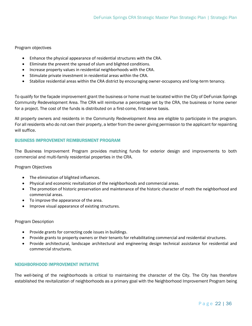#### Program objectives

- Enhance the physical appearance of residential structures with the CRA.
- Eliminate the prevent the spread of slum and blighted conditions.
- Increase property values in residential neighborhoods with the CRA.
- Stimulate private investment in residential areas within the CRA.
- Stabilize residential areas within the CRA district by encouraging owner-occupancy and long-term tenancy.

To qualify for the façade improvement grant the business or home must be located within the City of DeFuniak Springs Community Redevelopment Area. The CRA will reimburse a percentage set by the CRA, the business or home owner for a project. The cost of the funds is distributed on a first-come, first-serve basis.

All property owners and residents in the Community Redevelopment Area are eligible to participate in the program. For all residents who do not own their property, a letter from the owner giving permission to the applicant for repainting will suffice.

#### <span id="page-21-0"></span>BUSINESS IMPROVEMENT REIMBURSMENT PROGRAM

The Business Improvement Program provides matching funds for exterior design and improvements to both commercial and multi-family residential properties in the CRA.

#### Program Objectives

- The elimination of blighted influences.
- Physical and economic revitalization of the neighborhoods and commercial areas.
- The promotion of historic preservation and maintenance of the historic character of moth the neighborhood and commercial areas.
- To improve the appearance of the area.
- Improve visual appearance of existing structures.

#### Program Description

- Provide grants for correcting code issues in buildings.
- Provide grants to property owners or their tenants for rehabilitating commercial and residential structures.
- Provide architectural, landscape architectural and engineering design technical assistance for residential and commercial structures.

#### <span id="page-21-1"></span>NEIGHBORHOOD IMPROVEMENT INITIATIVE

The well-being of the neighborhoods is critical to maintaining the character of the City. The City has therefore established the revitalization of neighborhoods as a primary goal with the Neighborhood Improvement Program being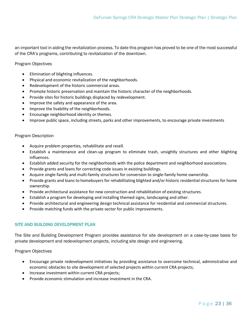an important tool in aiding the revitalization process. To date this program has proved to be one of the most successful of the CRA's programs, contributing to revitalization of the downtown.

Program Objectives

- Elimination of blighting influences.
- Physical and economic revitalization of the neighborhoods.
- Redevelopment of the historic commercial areas.
- Promote historic preservation and maintain the historic character of the neighborhoods.
- Provide sites for historic buildings displaced by redevelopment.
- Improve the safety and appearance of the area.
- Improve the livability of the neighborhoods.
- Encourage neighborhood identity or themes.
- Improve public space, including streets, parks and other improvements, to encourage private investments

#### Program Description

- Acquire problem properties, rehabilitate and resell.
- Establish a maintenance and clean-up program to eliminate trash, unsightly structures and other blighting influences.
- Establish added security for the neighborhoods with the police department and neighborhood associations.
- Provide grants and loans for correcting code issues in existing buildings.
- Acquire single-family and multi-family structures for conversion to single-family home ownership.
- Provide grants and loans to homebuyers for rehabilitating blighted and/or historic residential structures for home ownership.
- Provide architectural assistance for new construction and rehabilitation of existing structures.
- Establish a program for developing and installing themed signs, landscaping and other.
- Provide architectural and engineering design technical assistance for residential and commercial structures.
- Provide matching funds with the private sector for public improvements.

#### <span id="page-22-0"></span>SITE AND BUILDING DEVELOPMENT PLAN

The Site and Building Development Program provides assistance for site development on a case-by-case basis for private development and redevelopment projects, including site design and engineering.

Program Objectives

- Encourage private redevelopment initiatives by providing assistance to overcome technical, administrative and economic obstacles to site development of selected projects within current CRA projects;
- Increase investment within current CRA projects;
- Provide economic stimulation and increase investment in the CRA.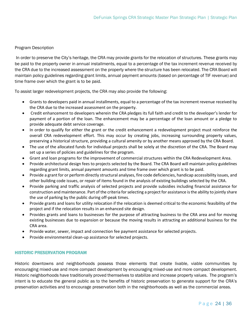#### Program Description

In order to preserve the City's heritage, the CRA may provide grants for the relocation of structures. These grants may be paid to the property owner in annual installments, equal to a percentage of the tax increment revenue received by the CRA due to the increased assessment on the property where the structure has been relocated. The CRA Board will maintain policy guidelines regarding grant limits, annual payment amounts (based on percentage of TIF revenue) and time frame over which the grant is to be paid.

To assist larger redevelopment projects, the CRA may also provide the following:

- Grants to developers paid in annual installments, equal to a percentage of the tax increment revenue received by the CRA due to the increased assessment on the property.
- Credit enhancement to developers wherein the CRA pledges its full faith and credit to the developer's lender for payment of a portion of the loan. The enhancement may be a percentage of the loan amount or a pledge to provide adequate debt service coverage.
- In order to qualify for either the grant or the credit enhancement a redevelopment project must reinforce the overall CRA redevelopment effort. This may occur by creating jobs, increasing surrounding property values, preserving a historical structure, providing a cultural amenity or by another means approved by the CRA Board.
- The use of the allocated funds for individual projects shall be solely at the discretion of the CRA. The Board may set up a series of policies and guidelines for the program.
- Grant and loan programs for the improvement of commercial structures within the CRA Redevelopment Area.
- Provide architectural design fees to projects selected by the Board. The CRA Board will maintain policy guidelines regarding grant limits, annual payment amounts and time frame over which grant is to be paid.
- Provide a grant for or perform directly structural analyses, fire code deficiencies, handicap accessibility issues, and other building code issues, or repair of items found in the analysis of existing buildings selected by the CRA.
- Provide parking and traffic analysis of selected projects and provide subsidies including financial assistance for construction and maintenance. Part of the criteria for selecting a project for assistance is the ability to jointly share the use of parking by the public during off-peak times.
- Provide grants and loans for utility relocation if the relocation is deemed critical to the economic feasibility of the project and if the relocation results in an enhanced site design.
- Provides grants and loans to businesses for the purpose of attracting business to the CRA area and for moving existing businesses due to expansion or because the moving results in attracting an additional business for the CRA area.
- Provide water, sewer, impact and connection fee payment assistance for selected projects.
- Provide environmental clean-up assistance for selected projects.

#### <span id="page-23-0"></span>HISTORIC PRESERVATION PROGRAM

Historic downtowns and neighborhoods possess those elements that create livable, viable communities by encouraging mixed-use and more compact development by encouraging mixed-use and more compact development. Historic neighborhoods have traditionally proved themselves to stabilize and increase property values. The program's intent is to educate the general public as to the benefits of historic preservation to generate support for the CRA's preservation activities and to encourage preservation both in the neighborhoods as well as the commercial areas.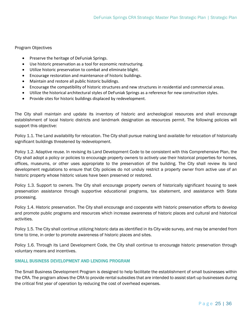#### Program Objectives

- Preserve the heritage of DeFuniak Springs.
- Use historic preservation as a tool for economic restructuring.
- Utilize historic preservation to combat and eliminate blight.
- Encourage restoration and maintenance of historic buildings.
- Maintain and restore all public historic buildings.
- Encourage the compatibility of historic structures and new structures in residential and commercial areas.
- Utilize the historical architectural styles of DeFuniak Springs as a reference for new construction styles.
- Provide sites for historic buildings displaced by redevelopment.

The City shall maintain and update its inventory of historic and archeological resources and shall encourage establishment of local historic districts and landmark designation as resources permit. The following policies will support this objective:

Policy 1.1. The Land availability for relocation. The City shall pursue making land available for relocation of historically significant buildings threatened by redevelopment.

Policy 1.2. Adaptive reuse. In revising its Land Development Code to be consistent with this Comprehensive Plan, the City shall adopt a policy or policies to encourage property owners to actively use their historical properties for homes, offices, museums, or other uses appropriate to the preservation of the building. The City shall review its land development regulations to ensure that City policies do not unduly restrict a property owner from active use of an historic property whose historic values have been preserved or restored.

Policy 1.3. Support to owners. The City shall encourage property owners of historically significant housing to seek preservation assistance through supportive educational programs, tax abatement, and assistance with State processing.

Policy 1.4. Historic preservation. The City shall encourage and cooperate with historic preservation efforts to develop and promote public programs and resources which increase awareness of historic places and cultural and historical activities.

Policy 1.5. The City shall continue utilizing historic data as identified in its City-wide survey, and may be amended from time to time, in order to promote awareness of historic places and sites.

Policy 1.6. Through its Land Development Code, the City shall continue to encourage historic preservation through voluntary means and incentives.

#### <span id="page-24-0"></span>SMALL BUSINESS DEVELOPMENT AND LENDING PROGRAM

The Small Business Development Program is designed to help facilitate the establishment of small businesses within the CRA. The program allows the CRA to provide rental subsidies that are intended to assist start-up businesses during the critical first year of operation by reducing the cost of overhead expenses.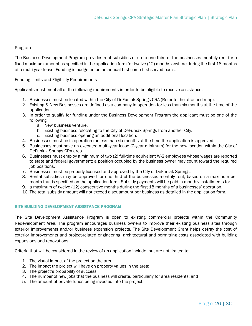#### Program

The Business Development Program provides rent subsidies of up to one-third of the businesses monthly rent for a fixed maximum amount as specified in the application form for twelve (12) months anytime during the first 18 months of a multi-year lease. Funding is budgeted on an annual first-come-first served basis.

Funding Limits and Eligibility Requirements

Applicants must meet all of the following requirements in order to be eligible to receive assistance:

- 1. Businesses must be located within the City of DeFuniak Springs CRA (Refer to the attached map).
- 2. Existing & New Businesses are defined as a company in operation for less than six months at the time of the application.
- 3. In order to qualify for funding under the Business Development Program the applicant must be one of the following:
	- a. New business venture.
	- b. Existing business relocating to the City of DeFuniak Springs from another City.
	- c. Existing business opening an additional location.
- 4. Businesses must be in operation for less than six months at the time the application is approved.
- 5. Businesses must have an executed multi-year lease (2-year minimum) for the new location within the City of DeFuniak Springs CRA area.
- 6. Businesses must employ a minimum of two (2) full-time equivalent W-2 employees whose wages are reported to state and federal government; a position occupied by the business owner may count toward the required job positions.
- 7. Businesses must be properly licensed and approved by the City of DeFuniak Springs.
- 8. Rental subsidies may be approved for one-third of the businesses monthly rent, based on a maximum per month that is specified on the application form. Subsidy payments will be paid in monthly installments for
- 9. a maximum of twelve (12) consecutive months during the first 18 months of a businesses' operation.
- 10. The total subsidy amount will not exceed a set amount per business as detailed in the application form.

#### <span id="page-25-0"></span>SITE BUILDING DEVELOPMENT ASSISTANCE PROGRAM

The Site Development Assistance Program is open to existing commercial projects within the Community Redevelopment Area. The program encourages business owners to improve their existing business sites through exterior improvements and/or business expansion projects. The Site Development Grant helps defray the cost of exterior improvements and project-related engineering, architectural and permitting costs associated with building expansions and renovations.

Criteria that will be considered in the review of an application include, but are not limited to:

- 1. The visual impact of the project on the area;
- 2. The impact the project will have on property values in the area;
- 3. The project's probability of success;
- 4. The number of new jobs that the business will create, particularly for area residents; and
- 5. The amount of private funds being invested into the project.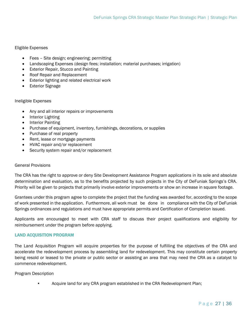#### Eligible Expenses

- Fees Site design; engineering; permitting
- Landscaping Expenses (design fees; installation; material purchases; irrigation)
- Exterior Repair, Stucco and Painting
- Roof Repair and Replacement
- Exterior lighting and related electrical work
- **Exterior Signage**

#### Ineligible Expenses

- Any and all interior repairs or improvements
- Interior Lighting
- Interior Painting
- Purchase of equipment, inventory, furnishings, decorations, or supplies
- Purchase of real property
- Rent, lease or mortgage payments
- HVAC repair and/or replacement
- Security system repair and/or replacement

#### General Provisions

The CRA has the right to approve or deny Site Development Assistance Program applications in its sole and absolute determination and evaluation, as to the benefits projected by such projects in the City of DeFuniak Springs's CRA. Priority will be given to projects that primarily involve exterior improvements or show an increase in square footage.

Grantees under this program agree to complete the project that the funding was awarded for, according to the scope of work presented in the application. Furthermore, all work must be done in compliance with the City of DeFuniak Springs ordinances and regulations and must have appropriate permits and Certification of Completion issued.

Applicants are encouraged to meet with CRA staff to discuss their project qualifications and eligibility for reimbursement under the program before applying.

#### <span id="page-26-0"></span>LAND ACQUISITION PROGRAM

The Land Acquisition Program will acquire properties for the purpose of fulfilling the objectives of the CRA and accelerate the redevelopment process by assembling land for redevelopment. This may constitute certain property being resold or leased to the private or public sector or assisting an area that may need the CRA as a catalyst to commence redevelopment.

#### Program Description

• Acquire land for any CRA program established in the CRA Redevelopment Plan;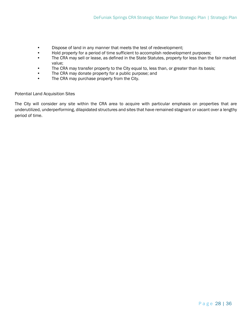- Dispose of land in any manner that meets the test of redevelopment;
- Hold property for a period of time sufficient to accomplish redevelopment purposes;
- The CRA may sell or lease, as defined in the State Statutes, property for less than the fair market value;
- The CRA may transfer property to the City equal to, less than, or greater than its basis;
- The CRA may donate property for a public purpose; and
- The CRA may purchase property from the City.

#### Potential Land Acquisition Sites

The City will consider any site within the CRA area to acquire with particular emphasis on properties that are underutilized, underperforming, dilapidated structures and sites that have remained stagnant or vacant over a lengthy period of time.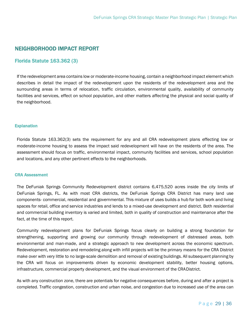# <span id="page-28-0"></span>NEIGHBORHOOD IMPACT REPORT

# <span id="page-28-1"></span>Florida Statute 163.362 (3)

If the redevelopment area contains low or moderate-income housing, contain a neighborhood impact element which describes in detail the impact of the redevelopment upon the residents of the redevelopment area and the surrounding areas in terms of relocation, traffic circulation, environmental quality, availability of community facilities and services, effect on school population, and other matters affecting the physical and social quality of the neighborhood.

#### <span id="page-28-2"></span>**Explanation**

Florida Statute 163.362(3) sets the requirement for any and all CRA redevelopment plans effecting low or moderate-income housing to assess the impact said redevelopment will have on the residents of the area. The assessment should focus on traffic, environmental impact, community facilities and services, school population and locations, and any other pertinent effects to the neighborhoods.

#### <span id="page-28-3"></span>CRA Assessment

The DeFuniak Springs Community Redevelopment district contains 6,475,520 acres inside the city limits of DeFuniak Springs, FL. As with most CRA districts, the DeFuniak Springs CRA District has many land use components- commercial, residential and governmental. This mixture of uses builds a hub for both work and living spaces for retail, office and service industries and lends to a mixed-use development and district. Both residential and commercial building inventory is varied and limited, both in quality of construction and maintenance after the fact, at the time of this report.

Community redevelopment plans for DeFuniak Springs focus clearly on building a strong foundation for strengthening, supporting and growing our community through redevelopment of distressed areas, both environmental and man-made, and a strategic approach to new development across the economic spectrum. Redevelopment, restoration and remodeling along with infill projects will be the primary means for the CRA District make over with very little to no large-scale demolition and removal of existing buildings. All subsequent planning by the CRA will focus on improvements driven by economic development stability, better housing options, infrastructure, commercial property development, and the visual environment of the CRADistrict.

As with any construction zone, there are potentials for negative consequences before, during and after a project is completed. Traffic congestion, construction and urban noise, and congestion due to increased use of the area can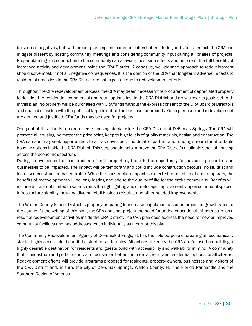be seen as negatives, but, with proper planning and communication before, during and after a project, the CRA can mitigate dissent by hosting community meetings and considering community input during all phases of projects. Proper planning and connection to the community can alleviate most side-effects and help reap the full benefits of increased activity and development inside the CRA District. A cohesive, well-planned approach to redevelopment should solve most, if not all, negative consequences. It is the opinion of the CRA that long-term adverse impacts to residential areas inside the CRA District are not expected due to redevelopment efforts.

Throughout the CRA redevelopment process, the CRA may deem necessary the procurement of depreciated property to develop the residential, commercial and retail options inside the CRA District and draw closer to goals set forth in this plan. No property will be purchased with CRA funds without the express consent of the CRA Board of Directors and much discussion with the public at large to define the best use for property. Once purchase and redevelopment are defined and justified, CRA funds may be used for projects.

One goal of this plan is a more diverse housing stock inside the CRA District of DeFuniak Springs. The CRA will promote all housing, no matter the price point, keep to high levels of quality materials, design and construction. The CRA can and may seek opportunities to act as developer, coordinator, partner and funding stream for affordable housing options inside the CRA District. This step should help improve the CRA District's available stock of housing across the economic spectrum.

During redevelopment or construction of infill properties, there is the opportunity for adjacent properties and businesses to be impacted. The impact will be temporary and could include construction detours, noise, dust and increased construction-based traffic. While the construction impact is expected to be minimal and temporary, the benefits of redevelopment will be long- lasting and add to the quality of life for the entire community. Benefits will include but are not limited to safer streets through lighting and streetscape improvements, open communal spaces, infrastructure stability, new and diverse retail business district, and other needed improvements.

The Walton County School District is properly preparing to increase population based on projected growth rates to the county. At the writing of this plan, the CRA does not project the need for added educational infrastructure as a result of redevelopment activities inside the CRA District. The CRA plan does address the need for new or improved community facilities and has addressed each individually as a part of this plan.

The Community Redevelopment Agency of DeFuniak Springs, FL has the sole purpose of creating an economically stable, highly accessible, beautiful district for all to enjoy. All actions taken by the CRA are focused on building a highly desirable destination for residents and guests build with accessibility and walkability in mind. A community that is pedestrian and pedal friendly and focused on better commercial, retail and residential options for all citizens. Redevelopment efforts will provide programs proposed for residents, property owners, businesses and visitors of the CRA District and, in turn, the city of DeFuniak Springs, Walton County, FL, the Florida Panhandle and the Southern Region of America.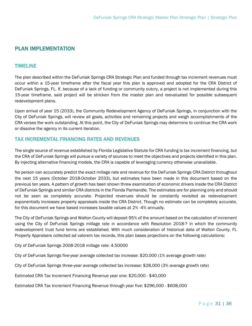# <span id="page-30-0"></span>PLAN IMPLEMENTATION

## <span id="page-30-1"></span>**TIMELINE**

The plan described within the DeFuniak Springs CRA Strategic Plan and funded through tax increment revenues must occur within a 15-year timeframe after the fiscal year this plan is approved and adopted for the CRA District of DeFuniak Springs, FL. If, because of a lack of funding or community outcry, a project is not implemented during this 15-year timeframe, said project will be stricken from the master plan and reevaluated for possible subsequent redevelopment plans.

Upon arrival of year 15 (2033), the Community Redevelopment Agency of DeFuniak Springs, in conjunction with the City of DeFuniak Springs, will review all goals, activities and remaining projects and weigh accomplishments of the CRA verses the work outstanding. At this point, the City of DeFuniak Springs may determine to continue the CRA work or dissolve the agency in its current iteration.

## <span id="page-30-2"></span>TAX INCREMENTAL FINANCING RATES AND REVENUES

The single source of revenue established by Florida Legislative Statute for CRA funding is tax increment financing, but the CRA of DeFuniak Springs will pursue a variety of sources to meet the objectives and projects identified in this plan. By injecting alternative financing models, the CRA is capable of leveraging currency otherwise unavailable.

No person can accurately predict the exact millage rate and revenue for the DeFuniak Springs CRA District throughout the next 15 years (October 2018-October 2033), but estimates have been made in this document based on the previous ten years. A pattern of growth has been shown threw examination of economic drivers inside the CRA District of DeFuniak Springs and similar CRA districts in the Florida Panhandle. The estimates are for planning only and should not be seen as completely accurate. Projected revenues should be constantly revisited as redevelopment exponentially increases property appraisals inside the CRA District. Though no estimate can be completely accurate, for this document we have based increases taxable values at 2% -4% annually.

The City of DeFuniak Springs and Walton County will deposit 95% of the amount based on the calculation of increment using the City of DeFuniak Springs millage rate in accordance with Resolution 2018-? in which the community redevelopment trust fund terms are established. With much consideration of historical data of Walton County, FL Property Appraisers collected ad valorem tax records, this plan bases projections on the following calculations:

City of DeFuniak Springs 2008-2018 millage rate: 4.50000

City of DeFuniak Springs five-year average collected tax increase: \$20,000 (1% average growth rate)

City of DeFuniak Springs three-year average collected tax increase: \$28,000 (3% average growth rate)

Estimated CRA Tax Increment Financing Revenue year one: \$20,000 - \$40,000

Estimated CRA Tax Increment Financing Revenue through year five: \$296,000 - \$608,000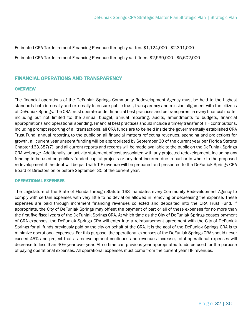Estimated CRA Tax Increment Financing Revenue through year ten: \$1,124,000 - \$2,391,000

Estimated CRA Tax Increment Financing Revenue through year fifteen: \$2,539,000 - \$5,602,000

## <span id="page-31-0"></span>FINANCIAL OPERATIONS AND TRANSPARENCY

#### <span id="page-31-1"></span>**OVERVIEW**

The financial operations of the DeFuniak Springs Community Redevelopment Agency must be held to the highest standards both internally and externally to ensure public trust, transparency and mission alignment with the citizens of DeFuniak Springs. The CRA must operate under financial best practices and be transparent in every financial matter including but not limited to: the annual budget, annual reporting, audits, amendments to budgets, financial appropriations and operational spending. Financial best practices should include a timely transfer of TIF contributions, including prompt reporting of all transactions, all CRA funds are to be held inside the governmentally established CRA Trust Fund, annual reporting to the public on all financial matters reflecting revenues, spending and projections for growth, all current year unspent funding will be appropriated by September 30 of the current year per Florida Statute Chapter 163.387(7), and all current reports and records will be made available to the public on the DeFuniak Springs CRA webpage. Additionally, an activity statement of cost associated with any projected redevelopment, including any funding to be used on publicly funded capital projects or any debt incurred due in part or in whole to the proposed redevelopment if the debt will be paid with TIF revenue will be prepared and presented to the DeFuniak Springs CRA Board of Directors on or before September 30 of the current year.

#### <span id="page-31-2"></span>OPERATIONAL EXPENSES

The Legislature of the State of Florida through Statute 163 mandates every Community Redevelopment Agency to comply with certain expenses with very little to no deviation allowed in removing or decreasing the expense. These expenses are paid through increment financing revenues collected and deposited into the CRA Trust Fund. If appropriate, the City of DeFuniak Springs may off-set the payment of part or all of these expenses for no more than the first five fiscal years of the DeFuniak Springs CRA. At which time as the City of DeFuniak Springs ceases payment of CRA expenses, the DeFuniak Springs CRA will enter into a reimbursement agreement with the City of DeFuniak Springs for all funds previously paid by the city on behalf of the CRA. It is the goal of the DeFuniak Springs CRA is to minimize operational expenses. For this purpose, the operational expenses of the DeFuniak Springs CRA should never exceed 45% and project that as redevelopment continues and revenues increase, total operational expenses will decrease to less than 40% year over year. At no time can previous year appropriated funds be used for the purpose of paying operational expenses. All operational expenses must come from the current year TIF revenues.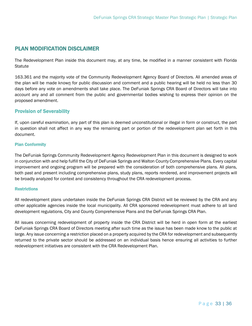# <span id="page-32-0"></span>PLAN MODIFICATION DISCLAIMER

The Redevelopment Plan inside this document may, at any time, be modified in a manner consistent with Florida **Statute** 

163.361 and the majority vote of the Community Redevelopment Agency Board of Directors. All amended areas of the plan will be made known for public discussion and comment and a public hearing will be held no less than 30 days before any vote on amendments shall take place. The DeFuniak Springs CRA Board of Directors will take into account any and all comment from the public and governmental bodies wishing to express their opinion on the proposed amendment.

## <span id="page-32-1"></span>Provision of Severability

If, upon careful examination, any part of this plan is deemed unconstitutional or illegal in form or construct, the part in question shall not affect in any way the remaining part or portion of the redevelopment plan set forth in this document.

#### <span id="page-32-2"></span>Plan Conformity

The DeFuniak Springs Community Redevelopment Agency Redevelopment Plan in this document is designed to work in conjunction with and help fulfill the City of DeFuniak Springs and Walton County Comprehensive Plans. Every capital improvement and ongoing program will be prepared with the consideration of both comprehensive plans. All plans, both past and present including comprehensive plans, study plans, reports rendered, and improvement projects will be broadly analyzed for context and consistency throughout the CRA redevelopment process.

#### <span id="page-32-3"></span>**Restrictions**

All redevelopment plans undertaken inside the DeFuniak Springs CRA District will be reviewed by the CRA and any other applicable agencies inside the local municipality. All CRA sponsored redevelopment must adhere to all land development regulations, City and County Comprehensive Plans and the DeFuniak Springs CRA Plan.

All issues concerning redevelopment of property inside the CRA District will be herd in open form at the earliest DeFuniak Springs CRA Board of Directors meeting after such time as the issue has been made know to the public at large. Any issue concerning a restriction placed on a property acquired by the CRA for redevelopment and subsequently returned to the private sector should be addressed on an individual basis hence ensuring all activities to further redevelopment initiatives are consistent with the CRA Redevelopment Plan.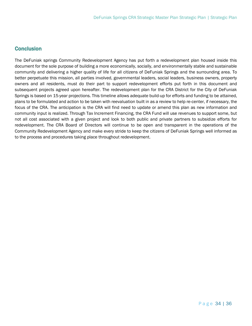# <span id="page-33-0"></span>**Conclusion**

The DeFuniak springs Community Redevelopment Agency has put forth a redevelopment plan housed inside this document for the sole purpose of building a more economically, socially, and environmentally stable and sustainable community and delivering a higher quality of life for all citizens of DeFuniak Springs and the surrounding area. To better perpetuate this mission, all parties involved, governmental leaders, social leaders, business owners, property owners and all residents, must do their part to support redevelopment efforts put forth in this document and subsequent projects agreed upon hereafter. The redevelopment plan for the CRA District for the City of DeFuniak Springs is based on 15-year projections. This timeline allows adequate build-up for efforts and funding to be attained, plans to be formulated and action to be taken with reevaluation built in as a review to help re-center, if necessary, the focus of the CRA. The anticipation is the CRA will find need to update or amend this plan as new information and community input is realized. Through Tax Increment Financing, the CRA Fund will use revenues to support some, but not all cost associated with a given project and look to both public and private partners to subsidize efforts for redevelopment. The CRA Board of Directors will continue to be open and transparent in the operations of the Community Redevelopment Agency and make every stride to keep the citizens of DeFuniak Springs well informed as to the process and procedures taking place throughout redevelopment.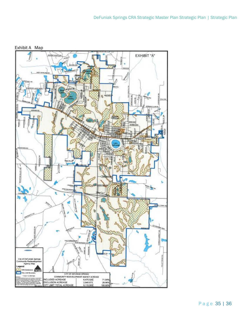